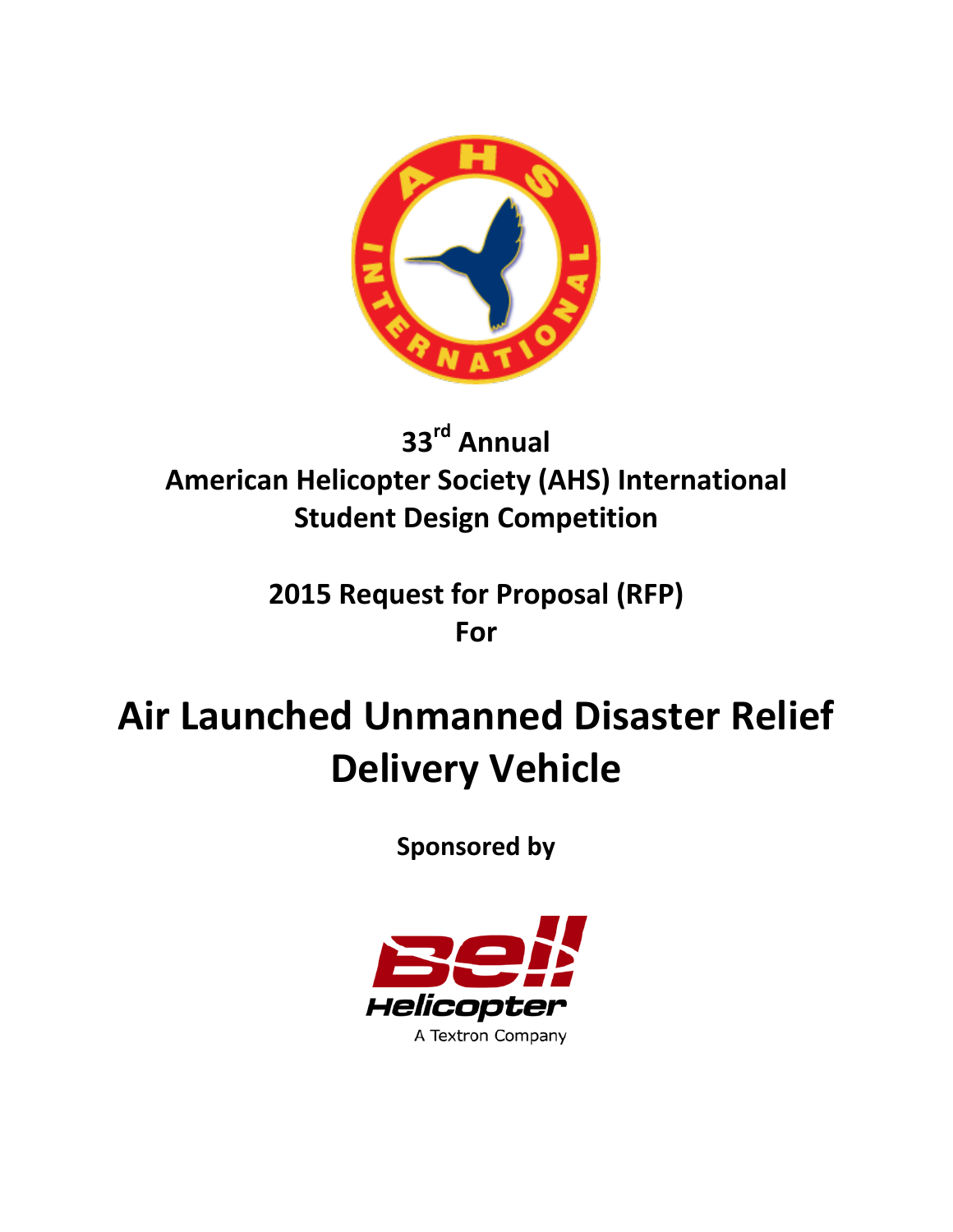

# **33rd Annual American Helicopter Society (AHS) International Student Design Competition**

# **2015 Request for Proposal (RFP) For**

# **Air Launched Unmanned Disaster Relief Delivery Vehicle**

**Sponsored by**

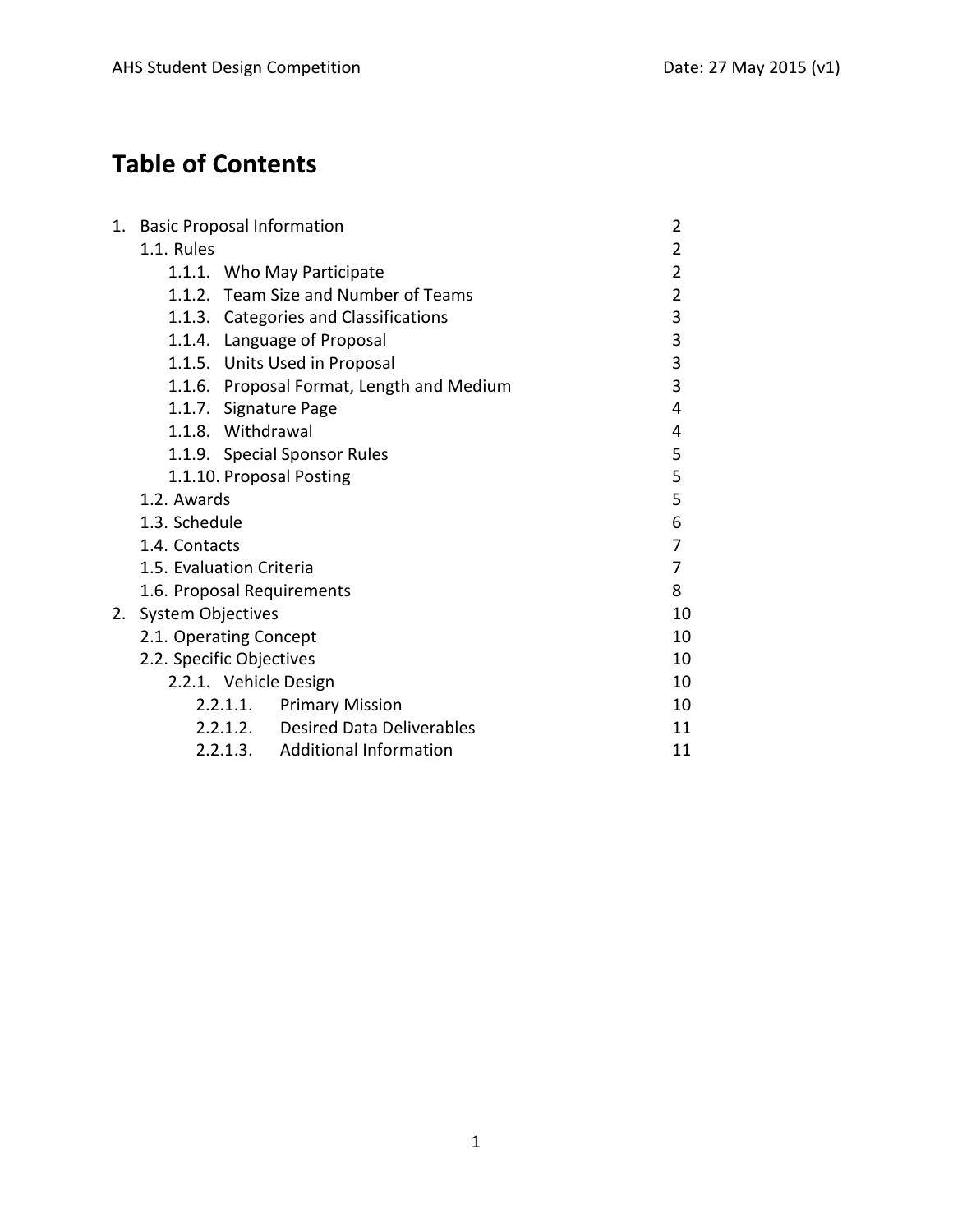## **Table of Contents**

| 1. | <b>Basic Proposal Information</b>            | $\overline{2}$ |
|----|----------------------------------------------|----------------|
|    | 1.1. Rules                                   | 2              |
|    | 1.1.1. Who May Participate                   | 2              |
|    | 1.1.2. Team Size and Number of Teams         | $\overline{2}$ |
|    | 1.1.3. Categories and Classifications        | 3              |
|    | 1.1.4. Language of Proposal                  | 3              |
|    | 1.1.5. Units Used in Proposal                | 3              |
|    | 1.1.6. Proposal Format, Length and Medium    | 3              |
|    | 1.1.7. Signature Page                        | 4              |
|    | 1.1.8. Withdrawal                            | 4              |
|    | 1.1.9. Special Sponsor Rules                 | 5              |
|    | 1.1.10. Proposal Posting                     | 5              |
|    | 1.2. Awards                                  | 5              |
|    | 1.3. Schedule                                | 6              |
|    | 1.4. Contacts                                | 7              |
|    | 1.5. Evaluation Criteria                     | 7              |
|    | 1.6. Proposal Requirements                   | 8              |
| 2. | <b>System Objectives</b>                     | 10             |
|    | 2.1. Operating Concept                       | 10             |
|    | 2.2. Specific Objectives                     | 10             |
|    | 2.2.1. Vehicle Design                        | 10             |
|    | <b>Primary Mission</b><br>2.2.1.1.           | 10             |
|    | <b>Desired Data Deliverables</b><br>2.2.1.2. | 11             |
|    | 2.2.1.3. Additional Information              | 11             |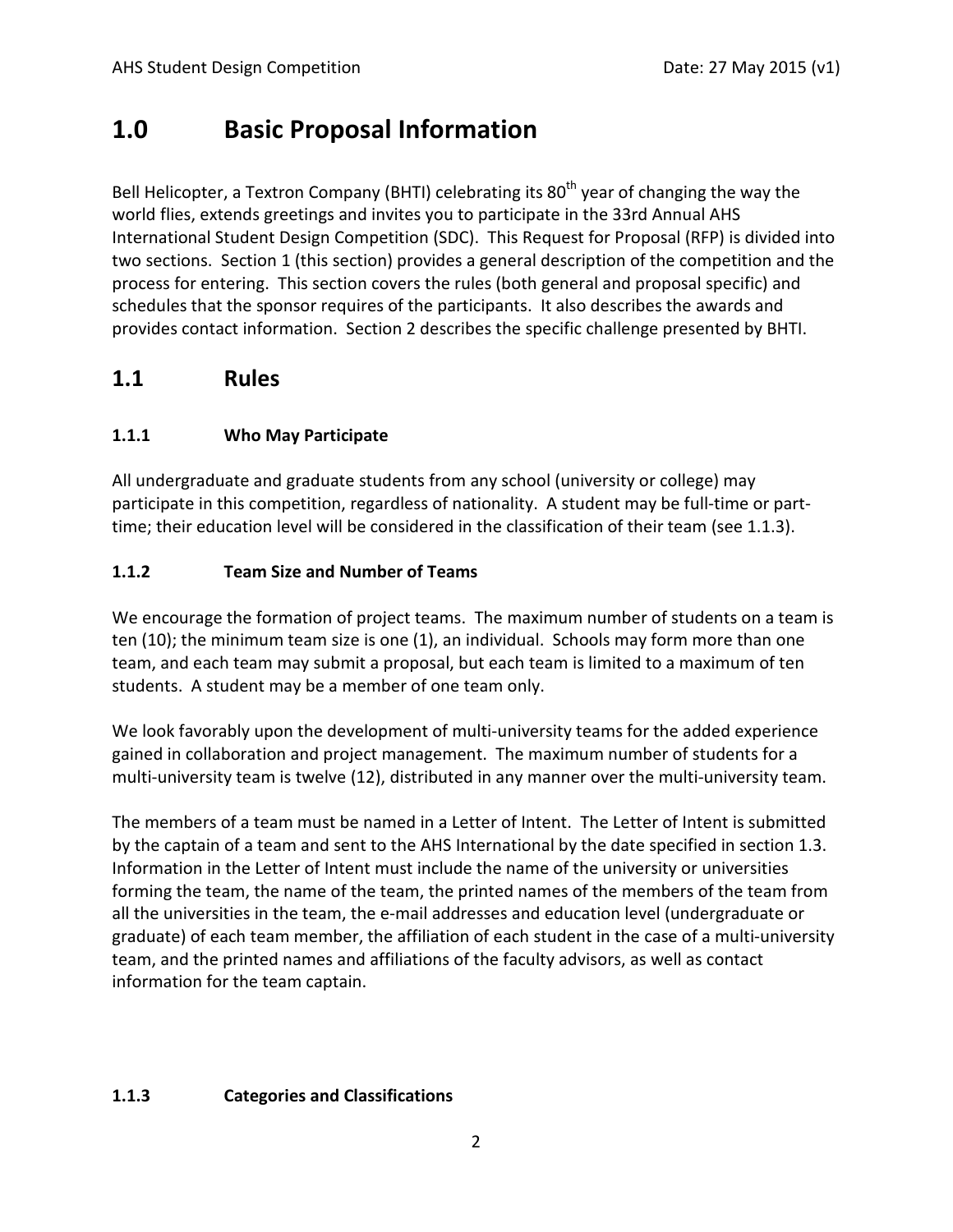## **1.0 Basic Proposal Information**

Bell Helicopter, a Textron Company (BHTI) celebrating its  $80<sup>th</sup>$  year of changing the way the world flies, extends greetings and invites you to participate in the 33rd Annual AHS International Student Design Competition (SDC). This Request for Proposal (RFP) is divided into two sections. Section 1 (this section) provides a general description of the competition and the process for entering. This section covers the rules (both general and proposal specific) and schedules that the sponsor requires of the participants. It also describes the awards and provides contact information. Section 2 describes the specific challenge presented by BHTI.

## **1.1 Rules**

#### **1.1.1 Who May Participate**

All undergraduate and graduate students from any school (university or college) may participate in this competition, regardless of nationality. A student may be full-time or parttime; their education level will be considered in the classification of their team (see 1.1.3).

#### **1.1.2 Team Size and Number of Teams**

We encourage the formation of project teams. The maximum number of students on a team is ten (10); the minimum team size is one (1), an individual. Schools may form more than one team, and each team may submit a proposal, but each team is limited to a maximum of ten students. A student may be a member of one team only.

We look favorably upon the development of multi-university teams for the added experience gained in collaboration and project management. The maximum number of students for a multi-university team is twelve (12), distributed in any manner over the multi-university team.

The members of a team must be named in a Letter of Intent. The Letter of Intent is submitted by the captain of a team and sent to the AHS International by the date specified in section 1.3. Information in the Letter of Intent must include the name of the university or universities forming the team, the name of the team, the printed names of the members of the team from all the universities in the team, the e-mail addresses and education level (undergraduate or graduate) of each team member, the affiliation of each student in the case of a multi-university team, and the printed names and affiliations of the faculty advisors, as well as contact information for the team captain.

#### **1.1.3 Categories and Classifications**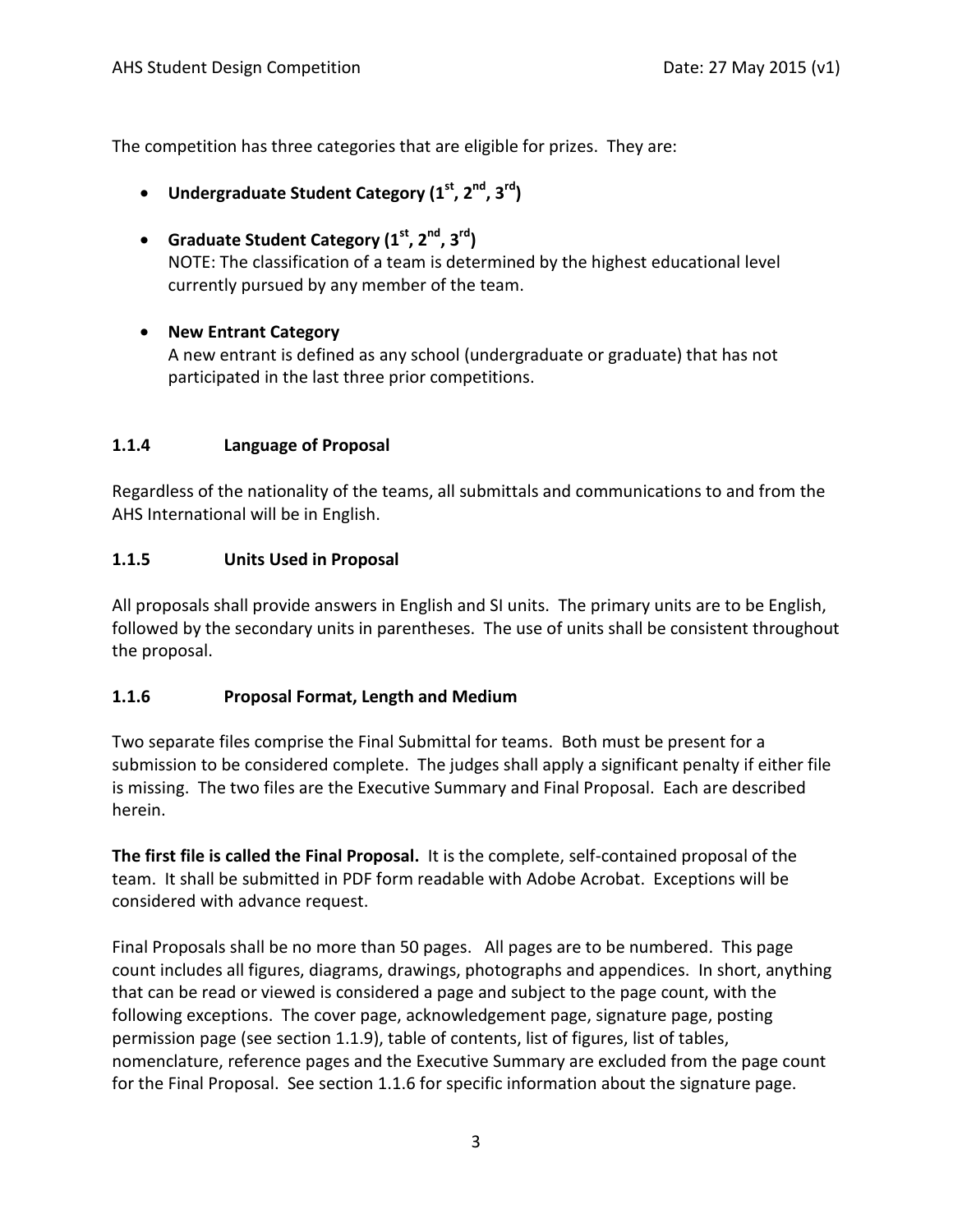The competition has three categories that are eligible for prizes. They are:

- **Undergraduate Student Category (1st, 2nd, 3rd)**
- **Graduate Student Category (1st, 2nd, 3rd)** NOTE: The classification of a team is determined by the highest educational level currently pursued by any member of the team.

#### • **New Entrant Category**

A new entrant is defined as any school (undergraduate or graduate) that has not participated in the last three prior competitions.

#### **1.1.4 Language of Proposal**

Regardless of the nationality of the teams, all submittals and communications to and from the AHS International will be in English.

#### **1.1.5 Units Used in Proposal**

All proposals shall provide answers in English and SI units. The primary units are to be English, followed by the secondary units in parentheses. The use of units shall be consistent throughout the proposal.

#### **1.1.6 Proposal Format, Length and Medium**

Two separate files comprise the Final Submittal for teams. Both must be present for a submission to be considered complete. The judges shall apply a significant penalty if either file is missing. The two files are the Executive Summary and Final Proposal. Each are described herein.

**The first file is called the Final Proposal.** It is the complete, self-contained proposal of the team. It shall be submitted in PDF form readable with Adobe Acrobat. Exceptions will be considered with advance request.

Final Proposals shall be no more than 50 pages. All pages are to be numbered. This page count includes all figures, diagrams, drawings, photographs and appendices. In short, anything that can be read or viewed is considered a page and subject to the page count, with the following exceptions. The cover page, acknowledgement page, signature page, posting permission page (see section 1.1.9), table of contents, list of figures, list of tables, nomenclature, reference pages and the Executive Summary are excluded from the page count for the Final Proposal. See section 1.1.6 for specific information about the signature page.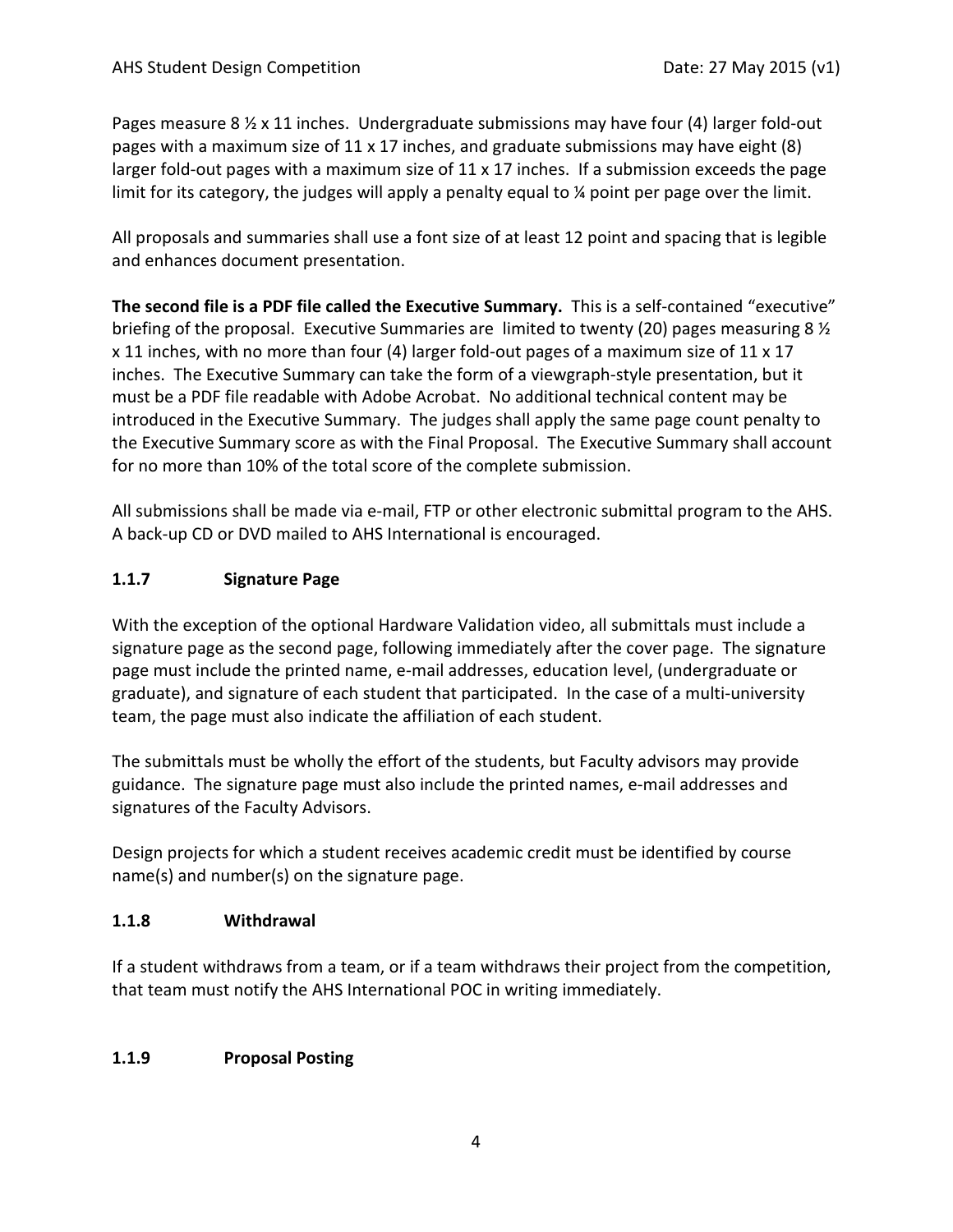Pages measure 8  $\frac{1}{2}$  x 11 inches. Undergraduate submissions may have four (4) larger fold-out pages with a maximum size of  $11 \times 17$  inches, and graduate submissions may have eight (8) larger fold-out pages with a maximum size of  $11 \times 17$  inches. If a submission exceeds the page limit for its category, the judges will apply a penalty equal to ¼ point per page over the limit.

All proposals and summaries shall use a font size of at least 12 point and spacing that is legible and enhances document presentation.

**The second file is a PDF file called the Executive Summary.** This is a self-contained "executive" briefing of the proposal. Executive Summaries are limited to twenty (20) pages measuring 8  $\frac{1}{2}$ x 11 inches, with no more than four (4) larger fold-out pages of a maximum size of 11 x 17 inches. The Executive Summary can take the form of a viewgraph-style presentation, but it must be a PDF file readable with Adobe Acrobat. No additional technical content may be introduced in the Executive Summary. The judges shall apply the same page count penalty to the Executive Summary score as with the Final Proposal. The Executive Summary shall account for no more than 10% of the total score of the complete submission.

All submissions shall be made via e-mail, FTP or other electronic submittal program to the AHS. A back-up CD or DVD mailed to AHS International is encouraged.

#### **1.1.7 Signature Page**

With the exception of the optional Hardware Validation video, all submittals must include a signature page as the second page, following immediately after the cover page. The signature page must include the printed name, e-mail addresses, education level, (undergraduate or graduate), and signature of each student that participated. In the case of a multi-university team, the page must also indicate the affiliation of each student.

The submittals must be wholly the effort of the students, but Faculty advisors may provide guidance. The signature page must also include the printed names, e-mail addresses and signatures of the Faculty Advisors.

Design projects for which a student receives academic credit must be identified by course name(s) and number(s) on the signature page.

#### **1.1.8 Withdrawal**

If a student withdraws from a team, or if a team withdraws their project from the competition, that team must notify the AHS International POC in writing immediately.

#### **1.1.9 Proposal Posting**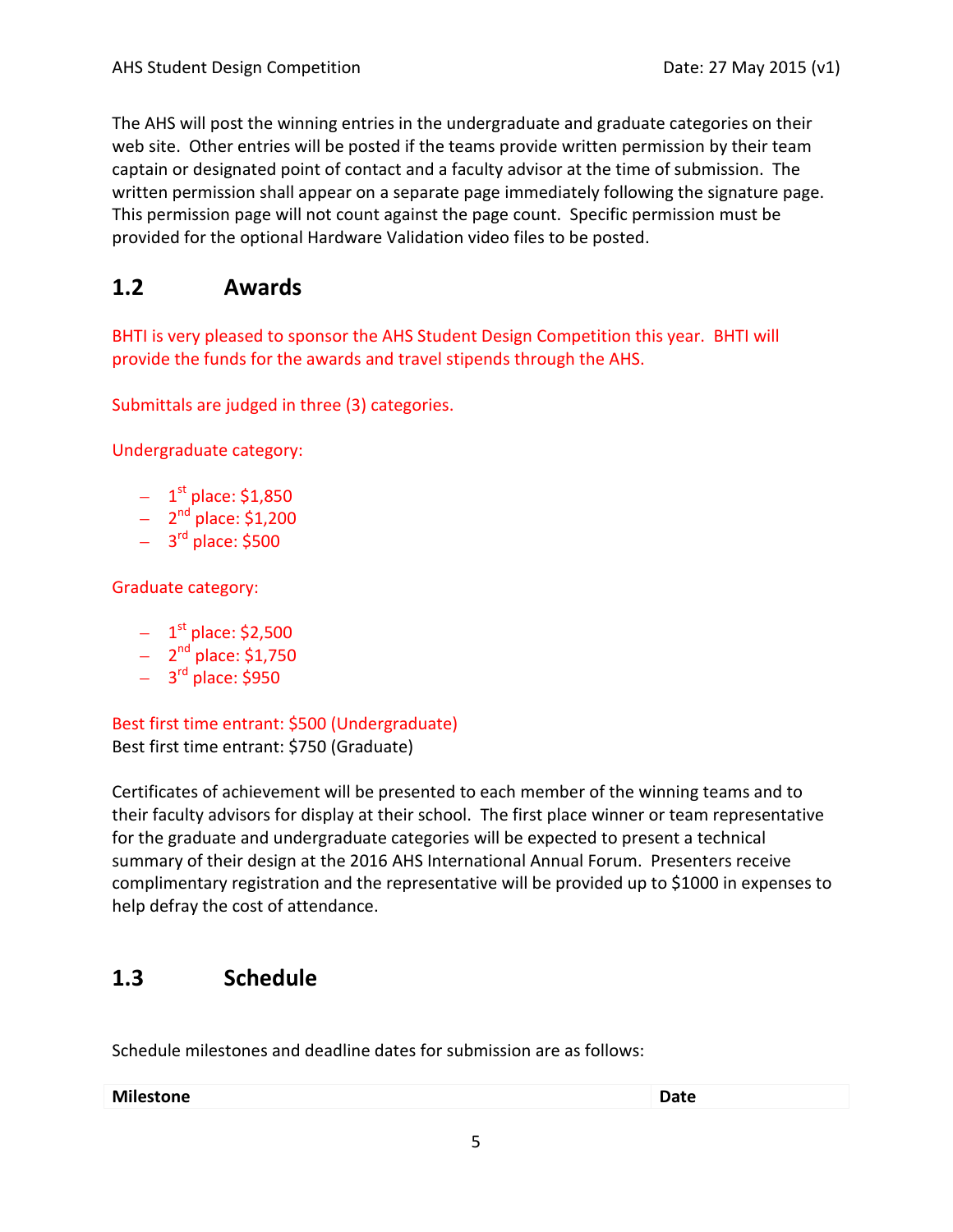The AHS will post the winning entries in the undergraduate and graduate categories on their web site. Other entries will be posted if the teams provide written permission by their team captain or designated point of contact and a faculty advisor at the time of submission. The written permission shall appear on a separate page immediately following the signature page. This permission page will not count against the page count. Specific permission must be provided for the optional Hardware Validation video files to be posted.

## **1.2 Awards**

BHTI is very pleased to sponsor the AHS Student Design Competition this year. BHTI will provide the funds for the awards and travel stipends through the AHS.

Submittals are judged in three (3) categories.

Undergraduate category:

- $-1$ <sup>st</sup> place: \$1,850
- $2<sup>nd</sup>$  place: \$1,200
- $-$  3<sup>rd</sup> place: \$500

Graduate category:

- $-1$ <sup>st</sup> place: \$2,500
- $2<sup>nd</sup>$  place: \$1,750
- $-$  3<sup>rd</sup> place: \$950

Best first time entrant: \$500 (Undergraduate) Best first time entrant: \$750 (Graduate)

Certificates of achievement will be presented to each member of the winning teams and to their faculty advisors for display at their school. The first place winner or team representative for the graduate and undergraduate categories will be expected to present a technical summary of their design at the 2016 AHS International Annual Forum. Presenters receive complimentary registration and the representative will be provided up to \$1000 in expenses to help defray the cost of attendance.

## **1.3 Schedule**

Schedule milestones and deadline dates for submission are as follows:

|  | <b>Milestone</b> | <b>Date</b> |
|--|------------------|-------------|
|--|------------------|-------------|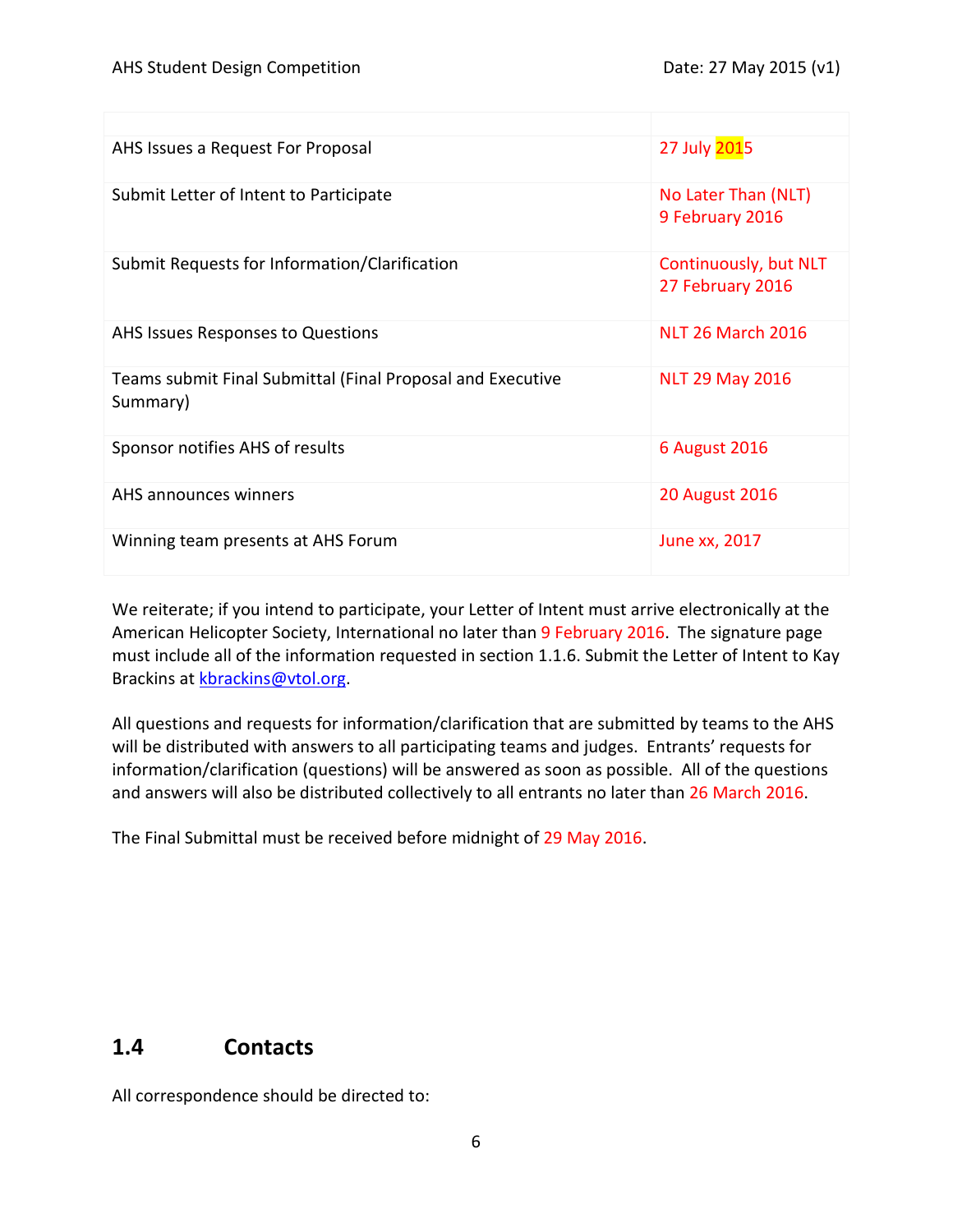| AHS Issues a Request For Proposal                                      | 27 July 2015                              |
|------------------------------------------------------------------------|-------------------------------------------|
| Submit Letter of Intent to Participate                                 | No Later Than (NLT)<br>9 February 2016    |
| Submit Requests for Information/Clarification                          | Continuously, but NLT<br>27 February 2016 |
| AHS Issues Responses to Questions                                      | <b>NLT 26 March 2016</b>                  |
| Teams submit Final Submittal (Final Proposal and Executive<br>Summary) | <b>NLT 29 May 2016</b>                    |
| Sponsor notifies AHS of results                                        | <b>6 August 2016</b>                      |
| AHS announces winners                                                  | <b>20 August 2016</b>                     |
| Winning team presents at AHS Forum                                     | June xx, 2017                             |

We reiterate; if you intend to participate, your Letter of Intent must arrive electronically at the American Helicopter Society, International no later than 9 February 2016. The signature page must include all of the information requested in section 1.1.6. Submit the Letter of Intent to Kay Brackins at [kbrackins@vtol.org.](mailto:kbrackins@vtol.org)

All questions and requests for information/clarification that are submitted by teams to the AHS will be distributed with answers to all participating teams and judges. Entrants' requests for information/clarification (questions) will be answered as soon as possible. All of the questions and answers will also be distributed collectively to all entrants no later than 26 March 2016.

The Final Submittal must be received before midnight of 29 May 2016.

## **1.4 Contacts**

All correspondence should be directed to: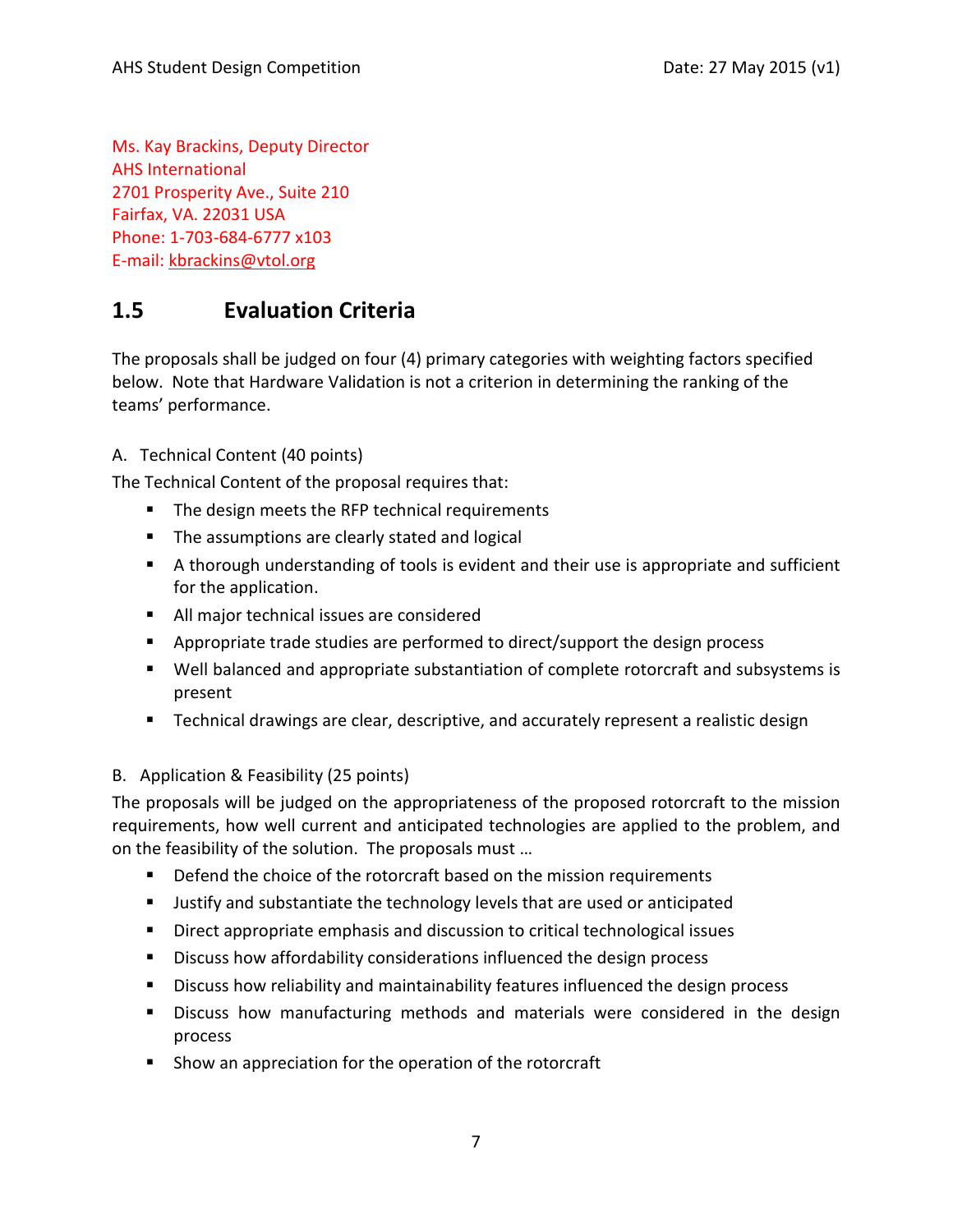Ms. Kay Brackins, Deputy Director AHS International 2701 Prosperity Ave., Suite 210 Fairfax, VA. 22031 USA Phone: 1-703-684-6777 x103 E-mail: [kbrackins@vtol.org](mailto:kbrackins@vtol.org)

## **1.5 Evaluation Criteria**

The proposals shall be judged on four (4) primary categories with weighting factors specified below. Note that Hardware Validation is not a criterion in determining the ranking of the teams' performance.

#### A. Technical Content (40 points)

The Technical Content of the proposal requires that:

- The design meets the RFP technical requirements
- **The assumptions are clearly stated and logical**
- A thorough understanding of tools is evident and their use is appropriate and sufficient for the application.
- All major technical issues are considered
- Appropriate trade studies are performed to direct/support the design process
- Well balanced and appropriate substantiation of complete rotorcraft and subsystems is present
- Technical drawings are clear, descriptive, and accurately represent a realistic design

#### B. Application & Feasibility (25 points)

The proposals will be judged on the appropriateness of the proposed rotorcraft to the mission requirements, how well current and anticipated technologies are applied to the problem, and on the feasibility of the solution. The proposals must …

- Defend the choice of the rotorcraft based on the mission requirements
- **Justify and substantiate the technology levels that are used or anticipated**
- **Direct appropriate emphasis and discussion to critical technological issues**
- **Discuss how affordability considerations influenced the design process**
- Discuss how reliability and maintainability features influenced the design process
- Discuss how manufacturing methods and materials were considered in the design process
- **Show an appreciation for the operation of the rotorcraft**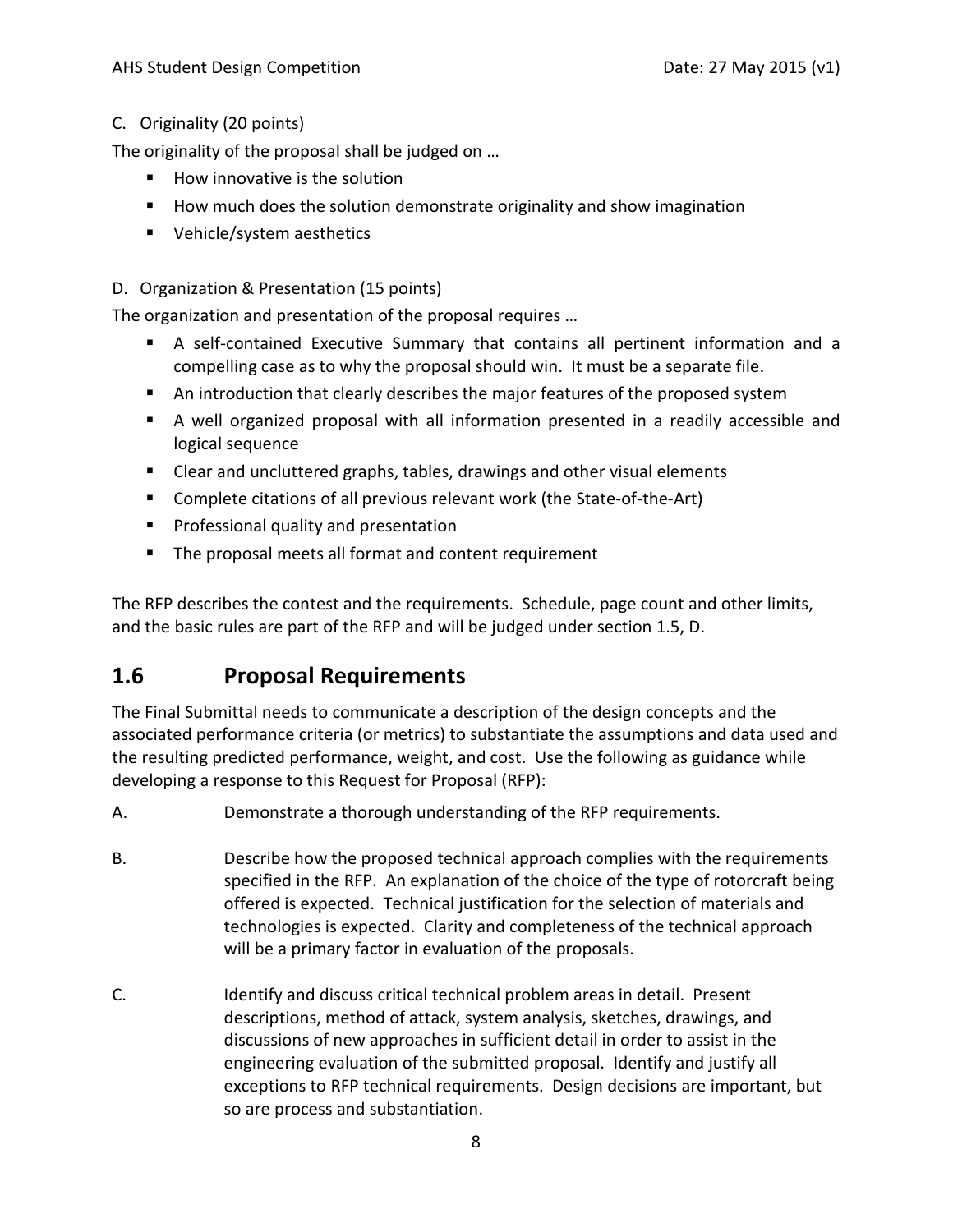#### C. Originality (20 points)

The originality of the proposal shall be judged on …

- **How innovative is the solution**
- How much does the solution demonstrate originality and show imagination
- Vehicle/system aesthetics

#### D. Organization & Presentation (15 points)

The organization and presentation of the proposal requires …

- A self-contained Executive Summary that contains all pertinent information and a compelling case as to why the proposal should win. It must be a separate file.
- An introduction that clearly describes the major features of the proposed system
- A well organized proposal with all information presented in a readily accessible and logical sequence
- Clear and uncluttered graphs, tables, drawings and other visual elements
- Complete citations of all previous relevant work (the State-of-the-Art)
- **Professional quality and presentation**
- The proposal meets all format and content requirement

The RFP describes the contest and the requirements. Schedule, page count and other limits, and the basic rules are part of the RFP and will be judged under section 1.5, D.

## **1.6 Proposal Requirements**

The Final Submittal needs to communicate a description of the design concepts and the associated performance criteria (or metrics) to substantiate the assumptions and data used and the resulting predicted performance, weight, and cost. Use the following as guidance while developing a response to this Request for Proposal (RFP):

- A. Demonstrate a thorough understanding of the RFP requirements.
- B. Describe how the proposed technical approach complies with the requirements specified in the RFP. An explanation of the choice of the type of rotorcraft being offered is expected. Technical justification for the selection of materials and technologies is expected. Clarity and completeness of the technical approach will be a primary factor in evaluation of the proposals.
- C. Identify and discuss critical technical problem areas in detail. Present descriptions, method of attack, system analysis, sketches, drawings, and discussions of new approaches in sufficient detail in order to assist in the engineering evaluation of the submitted proposal. Identify and justify all exceptions to RFP technical requirements. Design decisions are important, but so are process and substantiation.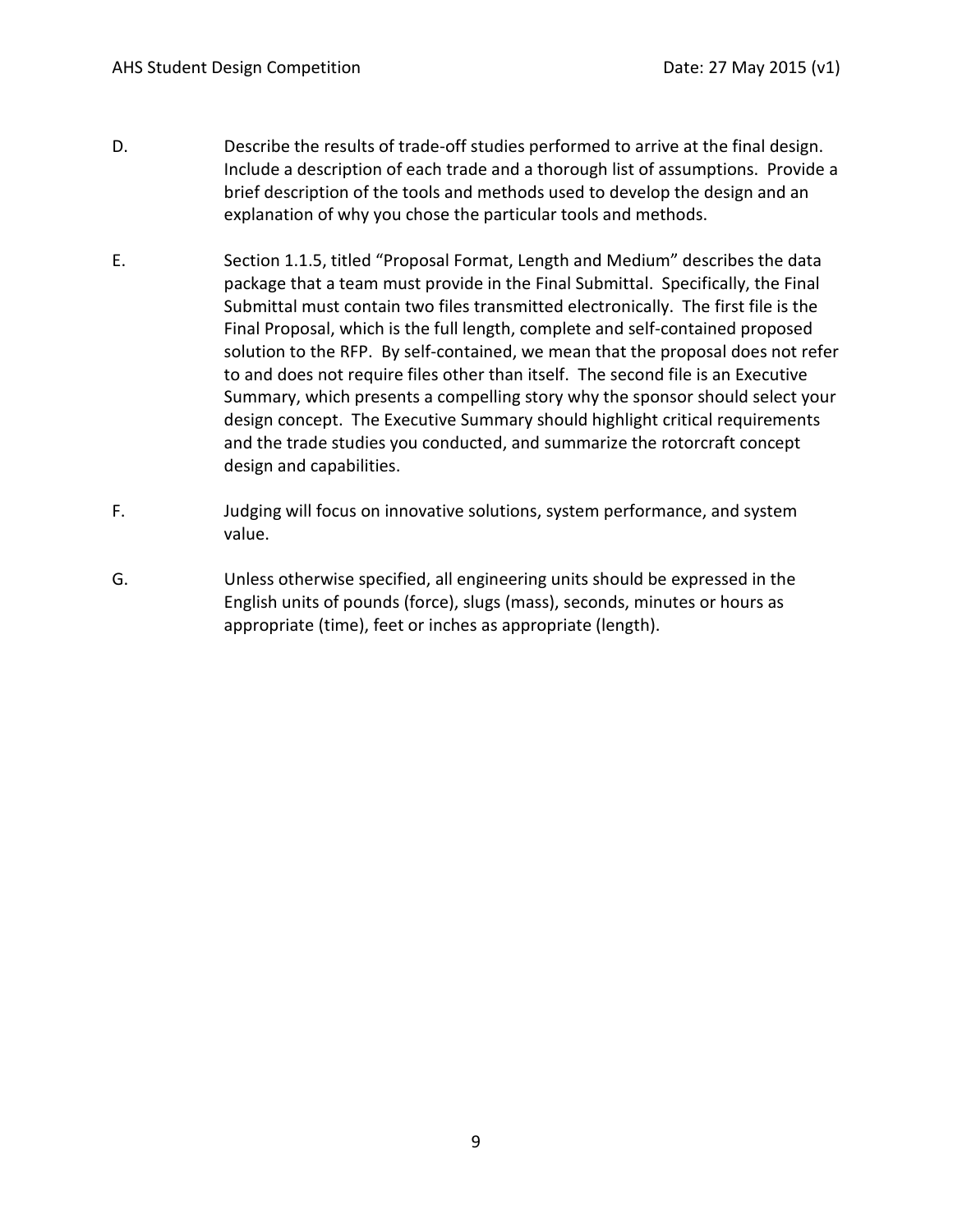- D. Describe the results of trade-off studies performed to arrive at the final design. Include a description of each trade and a thorough list of assumptions. Provide a brief description of the tools and methods used to develop the design and an explanation of why you chose the particular tools and methods.
- E. Section 1.1.5, titled "Proposal Format, Length and Medium" describes the data package that a team must provide in the Final Submittal. Specifically, the Final Submittal must contain two files transmitted electronically. The first file is the Final Proposal, which is the full length, complete and self-contained proposed solution to the RFP. By self-contained, we mean that the proposal does not refer to and does not require files other than itself. The second file is an Executive Summary, which presents a compelling story why the sponsor should select your design concept. The Executive Summary should highlight critical requirements and the trade studies you conducted, and summarize the rotorcraft concept design and capabilities.
- F. Judging will focus on innovative solutions, system performance, and system value.
- G. Unless otherwise specified, all engineering units should be expressed in the English units of pounds (force), slugs (mass), seconds, minutes or hours as appropriate (time), feet or inches as appropriate (length).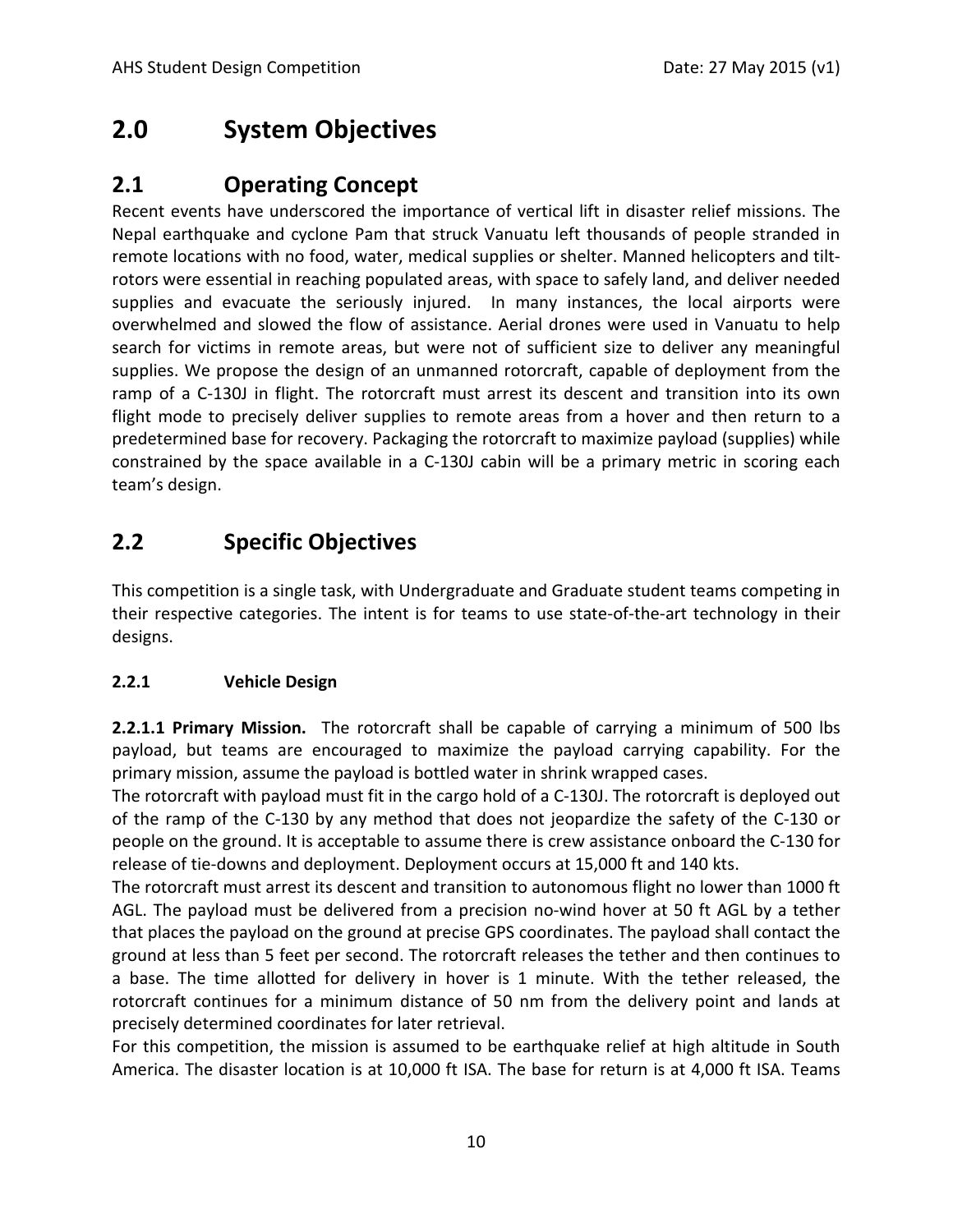## **2.0 System Objectives**

## **2.1 Operating Concept**

Recent events have underscored the importance of vertical lift in disaster relief missions. The Nepal earthquake and cyclone Pam that struck Vanuatu left thousands of people stranded in remote locations with no food, water, medical supplies or shelter. Manned helicopters and tiltrotors were essential in reaching populated areas, with space to safely land, and deliver needed supplies and evacuate the seriously injured. In many instances, the local airports were overwhelmed and slowed the flow of assistance. Aerial drones were used in Vanuatu to help search for victims in remote areas, but were not of sufficient size to deliver any meaningful supplies. We propose the design of an unmanned rotorcraft, capable of deployment from the ramp of a C-130J in flight. The rotorcraft must arrest its descent and transition into its own flight mode to precisely deliver supplies to remote areas from a hover and then return to a predetermined base for recovery. Packaging the rotorcraft to maximize payload (supplies) while constrained by the space available in a C-130J cabin will be a primary metric in scoring each team's design.

## **2.2 Specific Objectives**

This competition is a single task, with Undergraduate and Graduate student teams competing in their respective categories. The intent is for teams to use state-of-the-art technology in their designs.

#### **2.2.1 Vehicle Design**

**2.2.1.1 Primary Mission.** The rotorcraft shall be capable of carrying a minimum of 500 lbs payload, but teams are encouraged to maximize the payload carrying capability. For the primary mission, assume the payload is bottled water in shrink wrapped cases.

The rotorcraft with payload must fit in the cargo hold of a C-130J. The rotorcraft is deployed out of the ramp of the C-130 by any method that does not jeopardize the safety of the C-130 or people on the ground. It is acceptable to assume there is crew assistance onboard the C-130 for release of tie-downs and deployment. Deployment occurs at 15,000 ft and 140 kts.

The rotorcraft must arrest its descent and transition to autonomous flight no lower than 1000 ft AGL. The payload must be delivered from a precision no-wind hover at 50 ft AGL by a tether that places the payload on the ground at precise GPS coordinates. The payload shall contact the ground at less than 5 feet per second. The rotorcraft releases the tether and then continues to a base. The time allotted for delivery in hover is 1 minute. With the tether released, the rotorcraft continues for a minimum distance of 50 nm from the delivery point and lands at precisely determined coordinates for later retrieval.

For this competition, the mission is assumed to be earthquake relief at high altitude in South America. The disaster location is at 10,000 ft ISA. The base for return is at 4,000 ft ISA. Teams